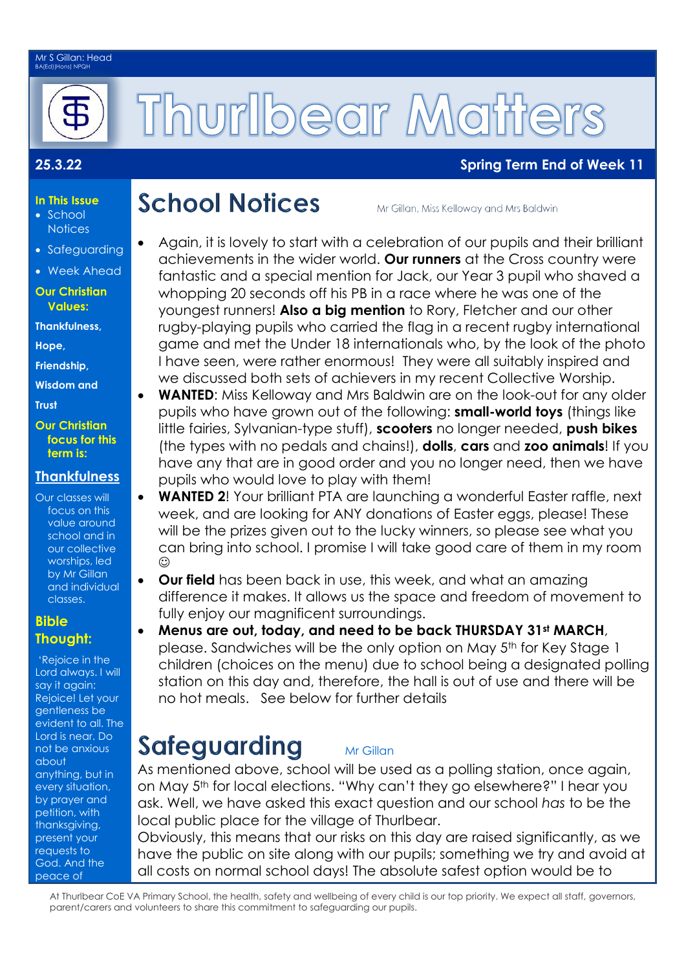### Mr S Gillan: Head BA(Ed)(Hons) NPQH



# Thurlbear Matte

# **25.3.22 Spring Term End of Week 11**

# **School Notices**

Mr Gillan, Miss Kelloway and Mrs Baldwin

- Again, it is lovely to start with a celebration of our pupils and their brilliant achievements in the wider world. **Our runners** at the Cross country were fantastic and a special mention for Jack, our Year 3 pupil who shaved a whopping 20 seconds off his PB in a race where he was one of the youngest runners! **Also a big mention** to Rory, Fletcher and our other rugby-playing pupils who carried the flag in a recent rugby international game and met the Under 18 internationals who, by the look of the photo I have seen, were rather enormous! They were all suitably inspired and we discussed both sets of achievers in my recent Collective Worship.
- **WANTED:** Miss Kelloway and Mrs Baldwin are on the look-out for any older pupils who have grown out of the following: **small-world toys** (things like little fairies, Sylvanian-type stuff), **scooters** no longer needed, **push bikes** (the types with no pedals and chains!), **dolls**, **cars** and **zoo animals**! If you have any that are in good order and you no longer need, then we have pupils who would love to play with them!
- **WANTED 2**! Your brilliant PTA are launching a wonderful Easter raffle, next week, and are looking for ANY donations of Easter eggs, please! These will be the prizes given out to the lucky winners, so please see what you can bring into school. I promise I will take good care of them in my room  $\odot$
- **Our field** has been back in use, this week, and what an amazing difference it makes. It allows us the space and freedom of movement to fully enjoy our magnificent surroundings.
- **Menus are out, today, and need to be back THURSDAY 31st MARCH**, please. Sandwiches will be the only option on May 5<sup>th</sup> for Key Stage 1 children (choices on the menu) due to school being a designated polling station on this day and, therefore, the hall is out of use and there will be no hot meals. See below for further details

# Safeguarding

As mentioned above, school will be used as a polling station, once again, on May 5th for local elections. "Why can't they go elsewhere?" I hear you ask. Well, we have asked this exact question and our school *has* to be the local public place for the village of Thurlbear.

Mr Gillan

Obviously, this means that our risks on this day are raised significantly, as we have the public on site along with our pupils; something we try and avoid at all costs on normal school days! The absolute safest option would be to

At Thurlbear CoE VA Primary School, the health, safety and wellbeing of every child is our top priority. We expect all staff, governors, parent/carers and volunteers to share this commitment to safeguarding our pupils.

- **In This Issue** • School
- **Notices** • Safeguarding
- 
- Week Ahead

### **Our Christian Values:**

**Thankfulness,** 

**Hope,** 

**Friendship,**

**Wisdom and** 

**Trust** 

**Our Christian focus for this term is:**

# **Thankfulness**

Our classes will focus on this value around school and in our collective worships, led by Mr Gillan and individual classes.

## **Bible Thought:**

'Rejoice in the Lord always. I will say it again: Rejoice! Let your gentleness be evident to all. The Lord is near. Do not be anxious about anything, but in every situation, by prayer and petition, with thanksgiving, present your requests to God. And the peace of